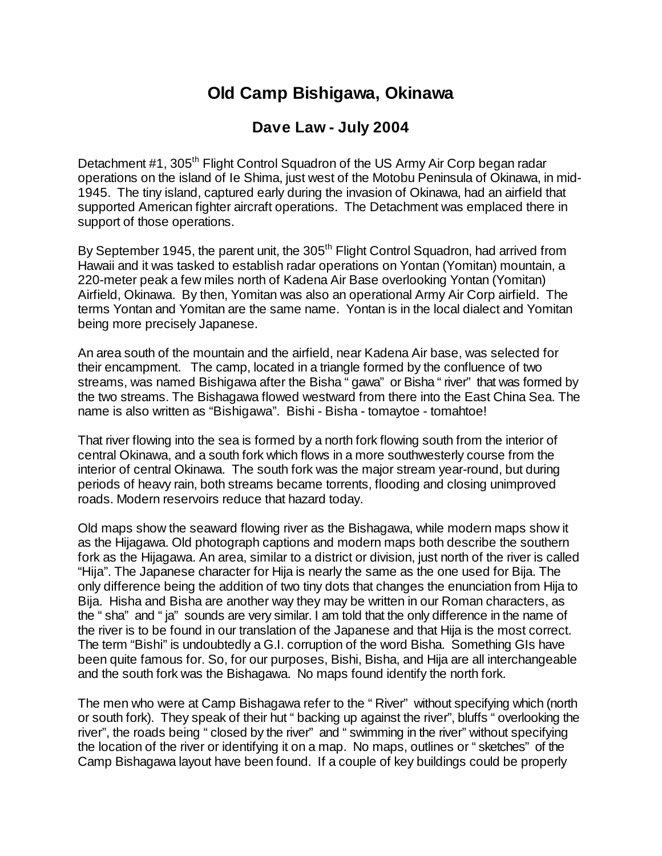## **Old Camp Bishigawa, Okinawa**

## **Dave Law - July 2004**

Detachment #1, 305<sup>th</sup> Flight Control Squadron of the US Army Air Corp began radar operations on the island of Ie Shima, just west of the Motobu Peninsula of Okinawa, in mid-1945. The tiny island, captured early during the invasion of Okinawa, had an airfield that supported American fighter aircraft operations. The Detachment was emplaced there in support of those operations.

By September 1945, the parent unit, the 305<sup>th</sup> Flight Control Squadron, had arrived from Hawaii and it was tasked to establish radar operations on Yontan (Yomitan) mountain, a 220-meter peak a few miles north of Kadena Air Base overlooking Yontan (Yomitan) Airfield, Okinawa. By then, Yomitan was also an operational Army Air Corp airfield. The terms Yontan and Yomitan are the same name. Yontan is in the local dialect and Yomitan being more precisely Japanese.

An area south of the mountain and the airfield, near Kadena Air base, was selected for their encampment. The camp, located in a triangle formed by the confluence of two streams, was named Bishigawa after the Bisha "gawa" or Bisha "river" that was formed by the two streams. The Bishagawa flowed westward from there into the East China Sea. The name is also written as "Bishigawa". Bishi - Bisha - tomaytoe - tomahtoe!

That river flowing into the sea is formed by a north fork flowing south from the interior of central Okinawa, and a south fork which flows in a more southwesterly course from the interior of central Okinawa. The south fork was the major stream year-round, but during periods of heavy rain, both streams became torrents, flooding and closing unimproved roads. Modern reservoirs reduce that hazard today.

Old maps show the seaward flowing river as the Bishagawa, while modern maps show it as the Hijagawa. Old photograph captions and modern maps both describe the southern fork as the Hijagawa. An area, similar to a district or division, just north of the river is called "Hija". The Japanese character for Hija is nearly the same as the one used for Bija. The only difference being the addition of two tiny dots that changes the enunciation from Hija to Bija. Hisha and Bisha are another way they may be written in our Roman characters, as the "sha" and "ja" sounds are very similar. I am told that the only difference in the name of the river is to be found in our translation of the Japanese and that Hija is the most correct. The term "Bishi" is undoubtedly a G.I. corruption of the word Bisha. Something GIs have been quite famous for. So, for our purposes, Bishi, Bisha, and Hija are all interchangeable and the south fork was the Bishagawa. No maps found identify the north fork.

The men who were at Camp Bishagawa refer to the "River" without specifying which (north or south fork). They speak of their hut "backing up against the river", bluffs "overlooking the river", the roads being "closed by the river" and "swimming in the river" without specifying the location of the river or identifying it on a map. No maps, outlines or "sketches" of the Camp Bishagawa layout have been found. If a couple of key buildings could be properly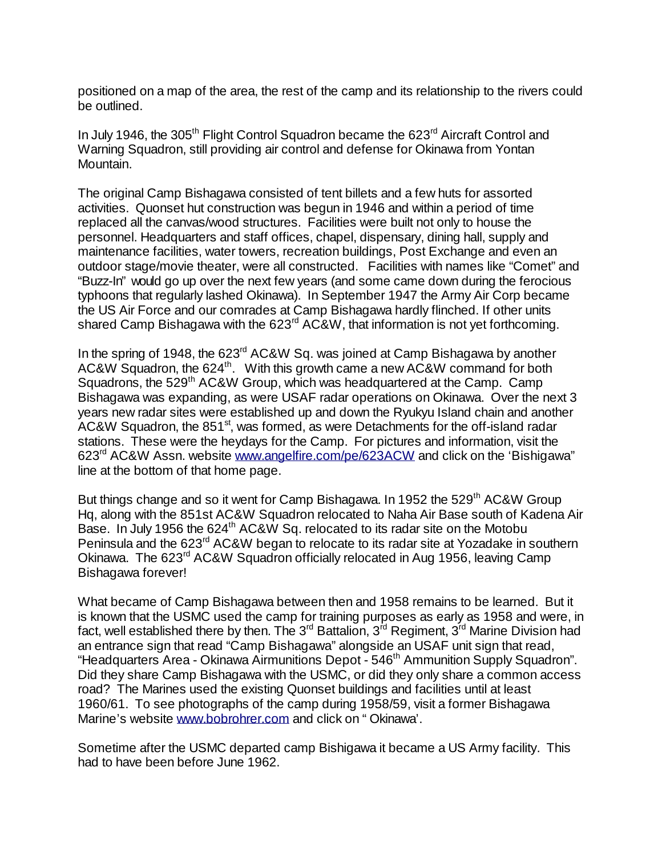positioned on a map of the area, the rest of the camp and its relationship to the rivers could be outlined.

In July 1946, the 305<sup>th</sup> Flight Control Squadron became the 623<sup>rd</sup> Aircraft Control and Warning Squadron, still providing air control and defense for Okinawa from Yontan Mountain.

The original Camp Bishagawa consisted of tent billets and a few huts for assorted activities. Quonset hut construction was begun in 1946 and within a period of time replaced all the canvas/wood structures. Facilities were built not only to house the personnel. Headquarters and staff offices, chapel, dispensary, dining hall, supply and maintenance facilities, water towers, recreation buildings, Post Exchange and even an outdoor stage/movie theater, were all constructed. Facilities with names like "Comet" and "Buzz-In" would go up over the next few years (and some came down during the ferocious typhoons that regularly lashed Okinawa). In September 1947 the Army Air Corp became the US Air Force and our comrades at Camp Bishagawa hardly flinched. If other units shared Camp Bishagawa with the 623<sup>rd</sup> AC&W, that information is not yet forthcoming.

In the spring of 1948, the 623rd AC&W Sq. was joined at Camp Bishagawa by another AC&W Squadron, the 624<sup>th</sup>. With this growth came a new AC&W command for both Squadrons, the 529<sup>th</sup> AC&W Group, which was headquartered at the Camp. Camp Bishagawa was expanding, as were USAF radar operations on Okinawa. Over the next 3 years new radar sites were established up and down the Ryukyu Island chain and another AC&W Squadron, the 851<sup>st</sup>, was formed, as were Detachments for the off-island radar stations. These were the heydays for the Camp. For pictures and information, visit the 623rd AC&W Assn. website www.angelfire.com/pe/623ACW and click on the 'Bishigawa" line at the bottom of that home page.

But things change and so it went for Camp Bishagawa. In 1952 the 529<sup>th</sup> AC&W Group Hq, along with the 851st AC&W Squadron relocated to Naha Air Base south of Kadena Air Base. In July 1956 the 624<sup>th</sup> AC&W Sq. relocated to its radar site on the Motobu Peninsula and the 623<sup>rd</sup> AC&W began to relocate to its radar site at Yozadake in southern Okinawa. The 623<sup>rd</sup> AC&W Squadron officially relocated in Aug 1956, leaving Camp Bishagawa forever!

What became of Camp Bishagawa between then and 1958 remains to be learned. But it is known that the USMC used the camp for training purposes as early as 1958 and were, in fact, well established there by then. The  $3^{rd}$  Battalion,  $3^{rd}$  Regiment,  $3^{rd}$  Marine Division had an entrance sign that read "Camp Bishagawa" alongside an USAF unit sign that read, "Headquarters Area - Okinawa Airmunitions Depot - 546<sup>th</sup> Ammunition Supply Squadron". Did they share Camp Bishagawa with the USMC, or did they only share a common access road? The Marines used the existing Quonset buildings and facilities until at least 1960/61. To see photographs of the camp during 1958/59, visit a former Bishagawa Marine's website www.bobrohrer.com and click on "Okinawa'.

Sometime after the USMC departed camp Bishigawa it became a US Army facility. This had to have been before June 1962.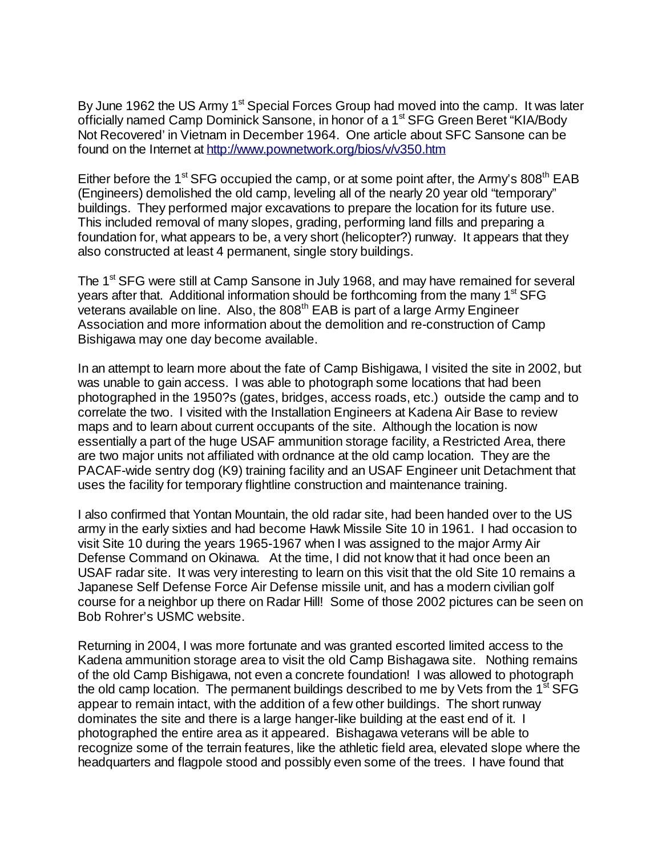By June 1962 the US Army 1<sup>st</sup> Special Forces Group had moved into the camp. It was later officially named Camp Dominick Sansone, in honor of a 1<sup>st</sup> SFG Green Beret "KIA/Body Not Recovered' in Vietnam in December 1964. One article about SFC Sansone can be found on the Internet at http://www.pownetwork.org/bios/v/v350.htm

Either before the 1<sup>st</sup> SFG occupied the camp, or at some point after, the Army's 808<sup>th</sup> EAB (Engineers) demolished the old camp, leveling all of the nearly 20 year old "temporary" buildings. They performed major excavations to prepare the location for its future use. This included removal of many slopes, grading, performing land fills and preparing a foundation for, what appears to be, a very short (helicopter?) runway. It appears that they also constructed at least 4 permanent, single story buildings.

The 1<sup>st</sup> SFG were still at Camp Sansone in July 1968, and may have remained for several years after that. Additional information should be forthcoming from the many  $1<sup>st</sup> SFG$ veterans available on line. Also, the 808<sup>th</sup> EAB is part of a large Army Engineer Association and more information about the demolition and re-construction of Camp Bishigawa may one day become available.

In an attempt to learn more about the fate of Camp Bishigawa, I visited the site in 2002, but was unable to gain access. I was able to photograph some locations that had been photographed in the 1950?s (gates, bridges, access roads, etc.) outside the camp and to correlate the two. I visited with the Installation Engineers at Kadena Air Base to review maps and to learn about current occupants of the site. Although the location is now essentially a part of the huge USAF ammunition storage facility, a Restricted Area, there are two major units not affiliated with ordnance at the old camp location. They are the PACAF-wide sentry dog (K9) training facility and an USAF Engineer unit Detachment that uses the facility for temporary flightline construction and maintenance training.

I also confirmed that Yontan Mountain, the old radar site, had been handed over to the US army in the early sixties and had become Hawk Missile Site 10 in 1961. I had occasion to visit Site 10 during the years 1965-1967 when I was assigned to the major Army Air Defense Command on Okinawa. At the time, I did not know that it had once been an USAF radar site. It was very interesting to learn on this visit that the old Site 10 remains a Japanese Self Defense Force Air Defense missile unit, and has a modern civilian golf course for a neighbor up there on Radar Hill! Some of those 2002 pictures can be seen on Bob Rohrer's USMC website.

Returning in 2004, I was more fortunate and was granted escorted limited access to the Kadena ammunition storage area to visit the old Camp Bishagawa site. Nothing remains of the old Camp Bishigawa, not even a concrete foundation! I was allowed to photograph the old camp location. The permanent buildings described to me by Vets from the  $1<sup>st</sup> SFG$ appear to remain intact, with the addition of a few other buildings. The short runway dominates the site and there is a large hanger-like building at the east end of it. I photographed the entire area as it appeared. Bishagawa veterans will be able to recognize some of the terrain features, like the athletic field area, elevated slope where the headquarters and flagpole stood and possibly even some of the trees. I have found that